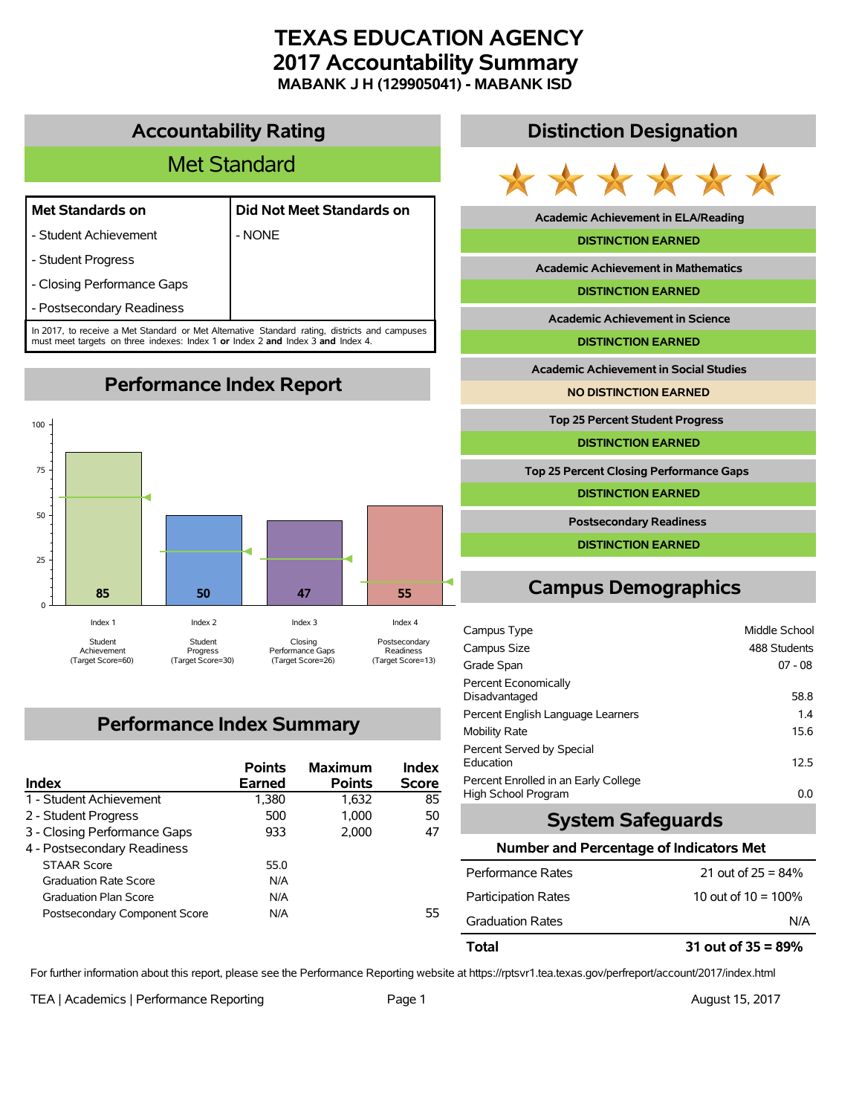# **TEXAS EDUCATION AGENCY 2017 Accountability Summary MABANK J H (129905041) - MABANK ISD**

# **Accountability Rating**

# Met Standard

### **Met Standards on Did Not Meet Standards on**

- Student Achievement | NONE
- Student Progress
- Closing Performance Gaps
- Postsecondary Readiness

In 2017, to receive a Met Standard or Met Alternative Standard rating, districts and campuses must meet targets on three indexes: Index 1 **or** Index 2 **and** Index 3 **and** Index 4.

**Performance Index Report**



# **Performance Index Summary**

| Index                         | <b>Points</b><br>Earned | <b>Maximum</b><br><b>Points</b> | <b>Index</b><br><b>Score</b> |
|-------------------------------|-------------------------|---------------------------------|------------------------------|
| 1 - Student Achievement       | 1,380                   | 1.632                           | 85                           |
| 2 - Student Progress          | 500                     | 1.000                           | 50                           |
| 3 - Closing Performance Gaps  | 933                     | 2.000                           | 47                           |
| 4 - Postsecondary Readiness   |                         |                                 |                              |
| <b>STAAR Score</b>            | 55.0                    |                                 |                              |
| <b>Graduation Rate Score</b>  | N/A                     |                                 |                              |
| <b>Graduation Plan Score</b>  | N/A                     |                                 |                              |
| Postsecondary Component Score | N/A                     |                                 | 55                           |

### **Distinction Designation**



**Academic Achievement in ELA/Reading**

#### **DISTINCTION EARNED**

**Academic Achievement in Mathematics**

**DISTINCTION EARNED**

**Academic Achievement in Science**

**DISTINCTION EARNED**

**Academic Achievement in Social Studies**

**NO DISTINCTION EARNED**

**Top 25 Percent Student Progress**

**DISTINCTION EARNED**

**Top 25 Percent Closing Performance Gaps**

**DISTINCTION EARNED**

**Postsecondary Readiness**

**DISTINCTION EARNED**

# **Campus Demographics**

| Campus Type                          | Middle School |
|--------------------------------------|---------------|
|                                      |               |
| Campus Size                          | 488 Students  |
| Grade Span                           | $07 - 08$     |
| Percent Economically                 |               |
| Disadvantaged                        | 58.8          |
| Percent English Language Learners    | 1.4           |
| <b>Mobility Rate</b>                 | 15.6          |
| Percent Served by Special            |               |
| Education                            | 12.5          |
| Percent Enrolled in an Early College |               |
| High School Program                  | 0.0           |

## **System Safeguards**

#### **Number and Percentage of Indicators Met**

| Total                      | 31 out of $35 = 89\%$  |
|----------------------------|------------------------|
| <b>Graduation Rates</b>    | N/A                    |
| <b>Participation Rates</b> | 10 out of $10 = 100\%$ |
| Performance Rates          | 21 out of $25 = 84\%$  |

For further information about this report, please see the Performance Reporting website at https://rptsvr1.tea.texas.gov/perfreport/account/2017/index.html

TEA | Academics | Performance Reporting Page 1 August 15, 2017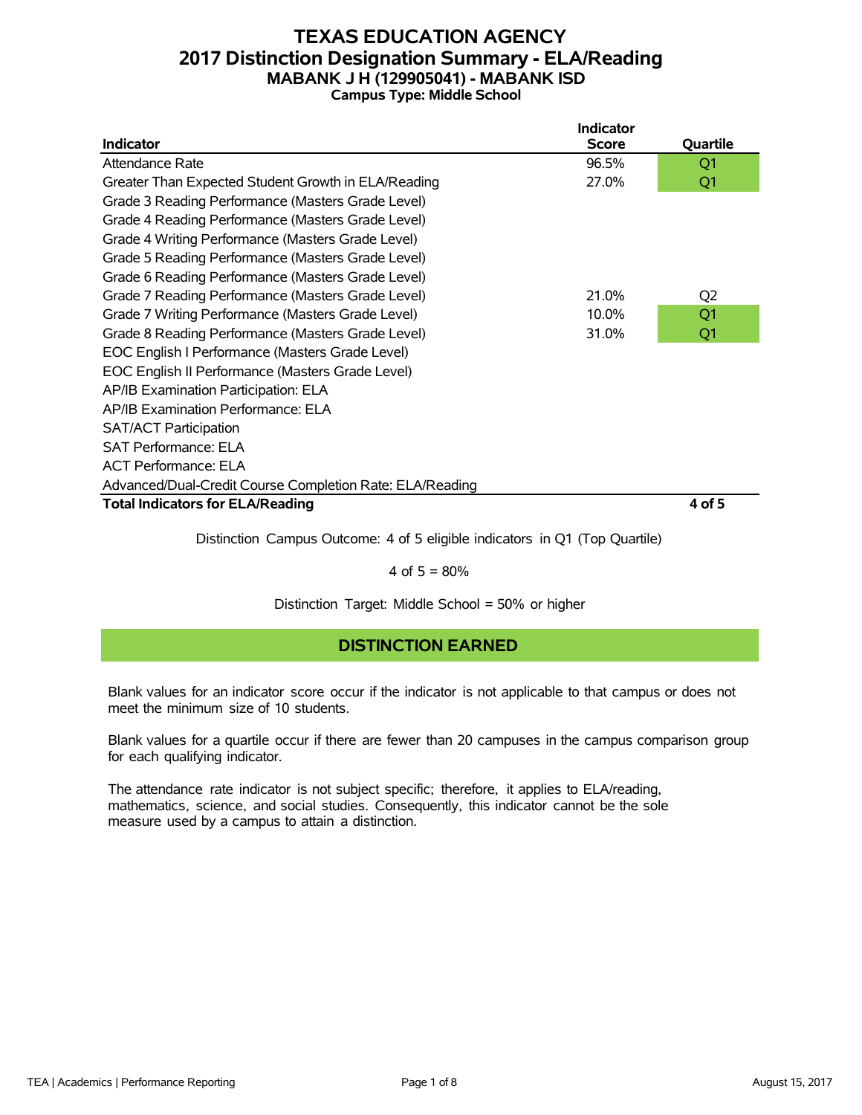## **TEXAS EDUCATION AGENCY 2017 Distinction Designation Summary - ELA/Reading MABANK J H (129905041) - MABANK ISD Campus Type: Middle School**

|                                                          | <b>Indicator</b> |                |
|----------------------------------------------------------|------------------|----------------|
| Indicator                                                | <b>Score</b>     | Quartile       |
| Attendance Rate                                          | 96.5%            | Q <sub>1</sub> |
| Greater Than Expected Student Growth in ELA/Reading      | 27.0%            | Q1             |
| Grade 3 Reading Performance (Masters Grade Level)        |                  |                |
| Grade 4 Reading Performance (Masters Grade Level)        |                  |                |
| Grade 4 Writing Performance (Masters Grade Level)        |                  |                |
| Grade 5 Reading Performance (Masters Grade Level)        |                  |                |
| Grade 6 Reading Performance (Masters Grade Level)        |                  |                |
| Grade 7 Reading Performance (Masters Grade Level)        | 21.0%            | Q <sub>2</sub> |
| Grade 7 Writing Performance (Masters Grade Level)        | 10.0%            | Q1             |
| Grade 8 Reading Performance (Masters Grade Level)        | 31.0%            | Q1             |
| EOC English I Performance (Masters Grade Level)          |                  |                |
| EOC English II Performance (Masters Grade Level)         |                  |                |
| AP/IB Examination Participation: ELA                     |                  |                |
| AP/IB Examination Performance: ELA                       |                  |                |
| <b>SAT/ACT Participation</b>                             |                  |                |
| <b>SAT Performance: ELA</b>                              |                  |                |
| <b>ACT Performance: ELA</b>                              |                  |                |
| Advanced/Dual-Credit Course Completion Rate: ELA/Reading |                  |                |
| <b>Total Indicators for ELA/Reading</b>                  |                  | 4 of 5         |
|                                                          |                  |                |

Distinction Campus Outcome: 4 of 5 eligible indicators in Q1 (Top Quartile)

#### 4 of  $5 = 80%$

Distinction Target: Middle School = 50% or higher

### **DISTINCTION EARNED**

Blank values for an indicator score occur if the indicator is not applicable to that campus or does not meet the minimum size of 10 students.

Blank values for a quartile occur if there are fewer than 20 campuses in the campus comparison group for each qualifying indicator.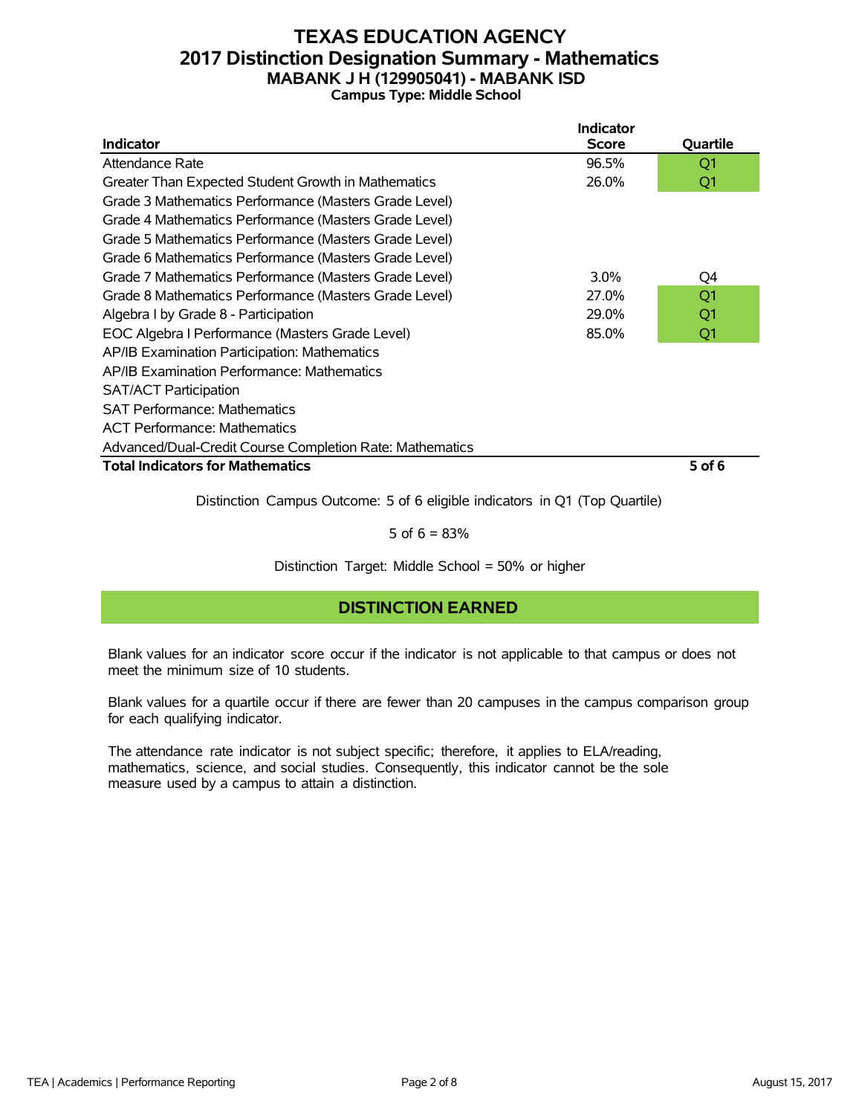## **TEXAS EDUCATION AGENCY 2017 Distinction Designation Summary - Mathematics MABANK J H (129905041) - MABANK ISD Campus Type: Middle School**

|                                                          | <b>Indicator</b> |                |
|----------------------------------------------------------|------------------|----------------|
| Indicator                                                | <b>Score</b>     | Quartile       |
| Attendance Rate                                          | 96.5%            | Q1             |
| Greater Than Expected Student Growth in Mathematics      | 26.0%            | Q1             |
| Grade 3 Mathematics Performance (Masters Grade Level)    |                  |                |
| Grade 4 Mathematics Performance (Masters Grade Level)    |                  |                |
| Grade 5 Mathematics Performance (Masters Grade Level)    |                  |                |
| Grade 6 Mathematics Performance (Masters Grade Level)    |                  |                |
| Grade 7 Mathematics Performance (Masters Grade Level)    | $3.0\%$          | Q4             |
| Grade 8 Mathematics Performance (Masters Grade Level)    | 27.0%            | Q <sub>1</sub> |
| Algebra I by Grade 8 - Participation                     | 29.0%            | Q1             |
| EOC Algebra I Performance (Masters Grade Level)          | 85.0%            | Q1             |
| AP/IB Examination Participation: Mathematics             |                  |                |
| AP/IB Examination Performance: Mathematics               |                  |                |
| <b>SAT/ACT Participation</b>                             |                  |                |
| <b>SAT Performance: Mathematics</b>                      |                  |                |
| <b>ACT Performance: Mathematics</b>                      |                  |                |
| Advanced/Dual-Credit Course Completion Rate: Mathematics |                  |                |
| <b>Total Indicators for Mathematics</b>                  |                  | 5 of 6         |
|                                                          |                  |                |

Distinction Campus Outcome: 5 of 6 eligible indicators in Q1 (Top Quartile)

5 of  $6 = 83%$ 

Distinction Target: Middle School = 50% or higher

### **DISTINCTION EARNED**

Blank values for an indicator score occur if the indicator is not applicable to that campus or does not meet the minimum size of 10 students.

Blank values for a quartile occur if there are fewer than 20 campuses in the campus comparison group for each qualifying indicator.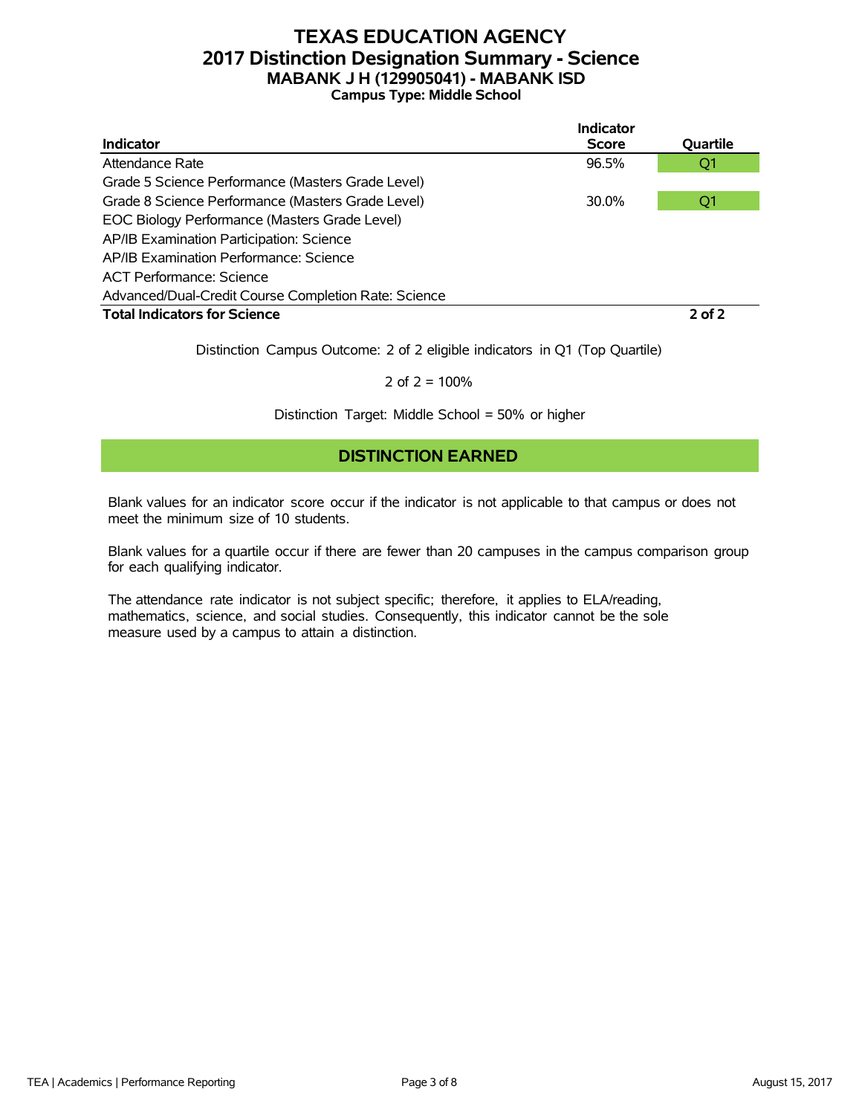# **TEXAS EDUCATION AGENCY 2017 Distinction Designation Summary - Science MABANK J H (129905041) - MABANK ISD Campus Type: Middle School**

|                                                      | Indicator    |            |
|------------------------------------------------------|--------------|------------|
| <b>Indicator</b>                                     | <b>Score</b> | Quartile   |
| Attendance Rate                                      | 96.5%        | Q1         |
| Grade 5 Science Performance (Masters Grade Level)    |              |            |
| Grade 8 Science Performance (Masters Grade Level)    | 30.0%        | Q1         |
| EOC Biology Performance (Masters Grade Level)        |              |            |
| AP/IB Examination Participation: Science             |              |            |
| AP/IB Examination Performance: Science               |              |            |
| ACT Performance: Science                             |              |            |
| Advanced/Dual-Credit Course Completion Rate: Science |              |            |
| <b>Total Indicators for Science</b>                  |              | $2$ of $2$ |

Distinction Campus Outcome: 2 of 2 eligible indicators in Q1 (Top Quartile)

2 of  $2 = 100%$ 

Distinction Target: Middle School = 50% or higher

## **DISTINCTION EARNED**

Blank values for an indicator score occur if the indicator is not applicable to that campus or does not meet the minimum size of 10 students.

Blank values for a quartile occur if there are fewer than 20 campuses in the campus comparison group for each qualifying indicator.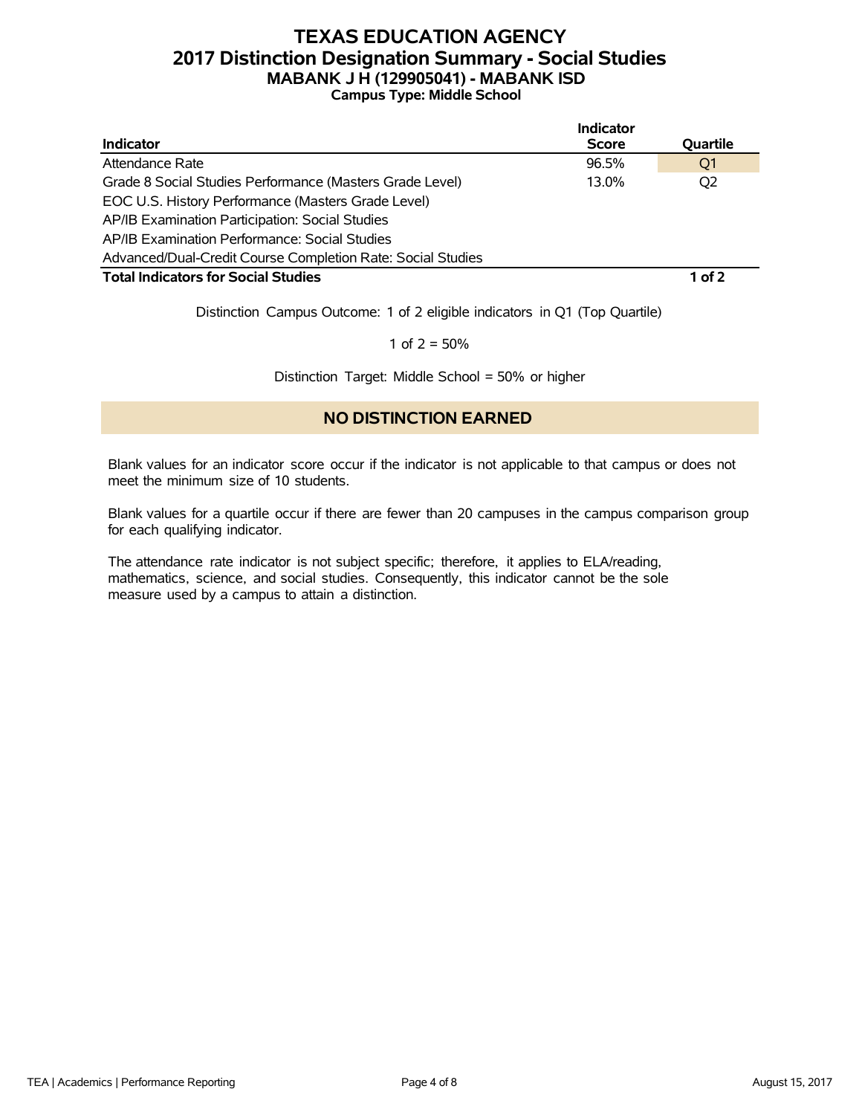# **TEXAS EDUCATION AGENCY 2017 Distinction Designation Summary - Social Studies MABANK J H (129905041) - MABANK ISD Campus Type: Middle School**

|                                                             | Indicator    |                |
|-------------------------------------------------------------|--------------|----------------|
| <b>Indicator</b>                                            | <b>Score</b> | Quartile       |
| Attendance Rate                                             | 96.5%        | Q1             |
| Grade 8 Social Studies Performance (Masters Grade Level)    | 13.0%        | O <sub>2</sub> |
| EOC U.S. History Performance (Masters Grade Level)          |              |                |
| AP/IB Examination Participation: Social Studies             |              |                |
| AP/IB Examination Performance: Social Studies               |              |                |
| Advanced/Dual-Credit Course Completion Rate: Social Studies |              |                |
| <b>Total Indicators for Social Studies</b>                  |              | 1 of 2         |

Distinction Campus Outcome: 1 of 2 eligible indicators in Q1 (Top Quartile)

1 of  $2 = 50%$ 

Distinction Target: Middle School = 50% or higher

### **NO DISTINCTION EARNED**

Blank values for an indicator score occur if the indicator is not applicable to that campus or does not meet the minimum size of 10 students.

Blank values for a quartile occur if there are fewer than 20 campuses in the campus comparison group for each qualifying indicator.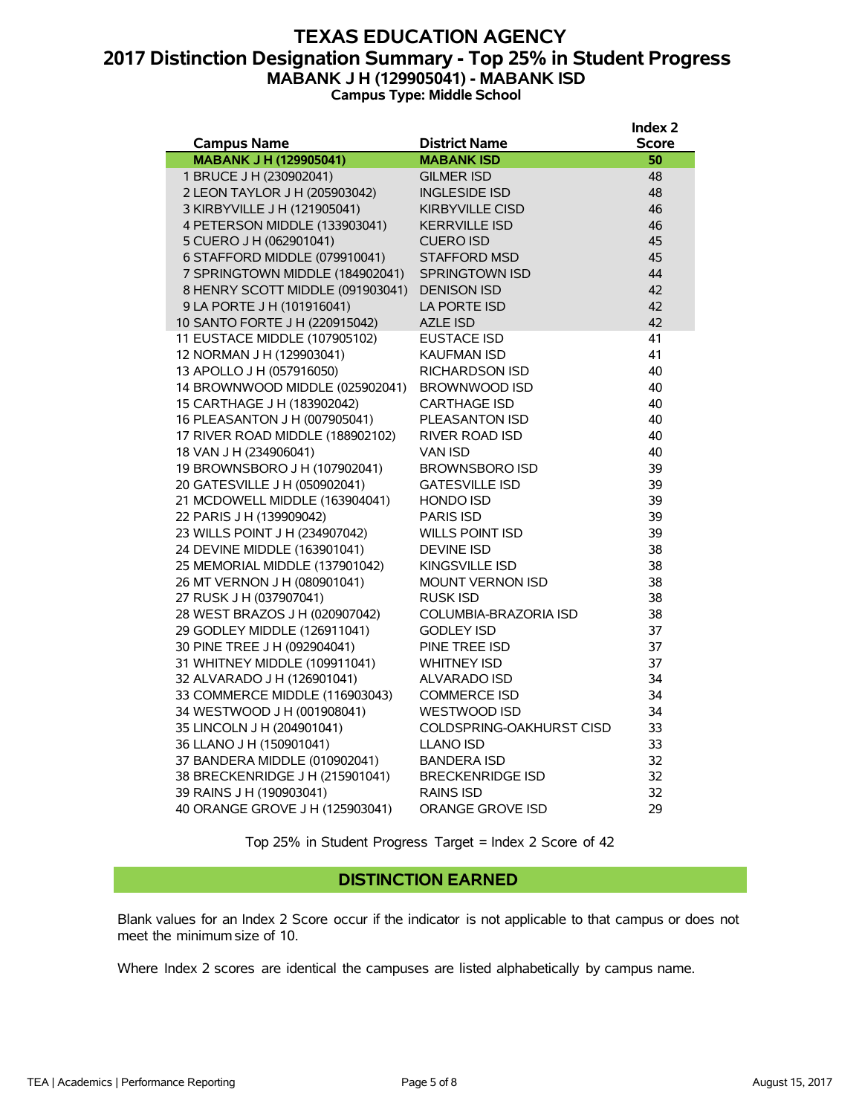### **TEXAS EDUCATION AGENCY 2017 Distinction Designation Summary - Top 25% in Student Progress MABANK J H (129905041) - MABANK ISD Campus Type: Middle School**

|                                  |                          | Index <sub>2</sub> |
|----------------------------------|--------------------------|--------------------|
| <b>Campus Name</b>               | <b>District Name</b>     | <b>Score</b>       |
| <b>MABANK J H (129905041)</b>    | <b>MABANK ISD</b>        | 50                 |
| 1 BRUCE J H (230902041)          | <b>GILMER ISD</b>        | 48                 |
| 2 LEON TAYLOR J H (205903042)    | <b>INGLESIDE ISD</b>     | 48                 |
| 3 KIRBYVILLE J H (121905041)     | <b>KIRBYVILLE CISD</b>   | 46                 |
| 4 PETERSON MIDDLE (133903041)    | <b>KERRVILLE ISD</b>     | 46                 |
| 5 CUERO J H (062901041)          | <b>CUERO ISD</b>         | 45                 |
| 6 STAFFORD MIDDLE (079910041)    | <b>STAFFORD MSD</b>      | 45                 |
| 7 SPRINGTOWN MIDDLE (184902041)  | <b>SPRINGTOWN ISD</b>    | 44                 |
| 8 HENRY SCOTT MIDDLE (091903041) | <b>DENISON ISD</b>       | 42                 |
| 9 LA PORTE J H (101916041)       | LA PORTE ISD             | 42                 |
| 10 SANTO FORTE J H (220915042)   | <b>AZLE ISD</b>          | 42                 |
| 11 EUSTACE MIDDLE (107905102)    | EUSTACE ISD              | 41                 |
| 12 NORMAN J H (129903041)        | <b>KAUFMAN ISD</b>       | 41                 |
| 13 APOLLO J H (057916050)        | <b>RICHARDSON ISD</b>    | 40                 |
| 14 BROWNWOOD MIDDLE (025902041)  | BROWNWOOD ISD            | 40                 |
| 15 CARTHAGE J H (183902042)      | <b>CARTHAGE ISD</b>      | 40                 |
| 16 PLEASANTON J H (007905041)    | PLEASANTON ISD           | 40                 |
| 17 RIVER ROAD MIDDLE (188902102) | <b>RIVER ROAD ISD</b>    | 40                 |
| 18 VAN J H (234906041)           | <b>VAN ISD</b>           | 40                 |
| 19 BROWNSBORO J H (107902041)    | <b>BROWNSBORO ISD</b>    | 39                 |
| 20 GATESVILLE J H (050902041)    | <b>GATESVILLE ISD</b>    | 39                 |
| 21 MCDOWELL MIDDLE (163904041)   | <b>HONDO ISD</b>         | 39                 |
| 22 PARIS J H (139909042)         | <b>PARIS ISD</b>         | 39                 |
| 23 WILLS POINT J H (234907042)   | <b>WILLS POINT ISD</b>   | 39                 |
| 24 DEVINE MIDDLE (163901041)     | <b>DEVINE ISD</b>        | 38                 |
| 25 MEMORIAL MIDDLE (137901042)   | <b>KINGSVILLE ISD</b>    | 38                 |
| 26 MT VERNON J H (080901041)     | <b>MOUNT VERNON ISD</b>  | 38                 |
| 27 RUSK J H (037907041)          | <b>RUSK ISD</b>          | 38                 |
| 28 WEST BRAZOS J H (020907042)   | COLUMBIA-BRAZORIA ISD    | 38                 |
| 29 GODLEY MIDDLE (126911041)     | <b>GODLEY ISD</b>        | 37                 |
| 30 PINE TREE J H (092904041)     | PINE TREE ISD            | 37                 |
| 31 WHITNEY MIDDLE (109911041)    | <b>WHITNEY ISD</b>       | 37                 |
| 32 ALVARADO J H (126901041)      | <b>ALVARADO ISD</b>      | 34                 |
| 33 COMMERCE MIDDLE (116903043)   | <b>COMMERCE ISD</b>      | 34                 |
| 34 WESTWOOD J H (001908041)      | <b>WESTWOOD ISD</b>      | 34                 |
| 35 LINCOLN J H (204901041)       | COLDSPRING-OAKHURST CISD | 33                 |
| 36 LLANO J H (150901041)         | <b>LLANO ISD</b>         | 33                 |
| 37 BANDERA MIDDLE (010902041)    | <b>BANDERA ISD</b>       | 32                 |
| 38 BRECKENRIDGE J H (215901041)  | <b>BRECKENRIDGE ISD</b>  | 32                 |
| 39 RAINS J H (190903041)         | <b>RAINS ISD</b>         | 32                 |
| 40 ORANGE GROVE J H (125903041)  | <b>ORANGE GROVE ISD</b>  | 29                 |

Top 25% in Student Progress Target = Index 2 Score of 42

#### **DISTINCTION EARNED**

Blank values for an Index 2 Score occur if the indicator is not applicable to that campus or does not meet the minimum size of 10.

Where Index 2 scores are identical the campuses are listed alphabetically by campus name.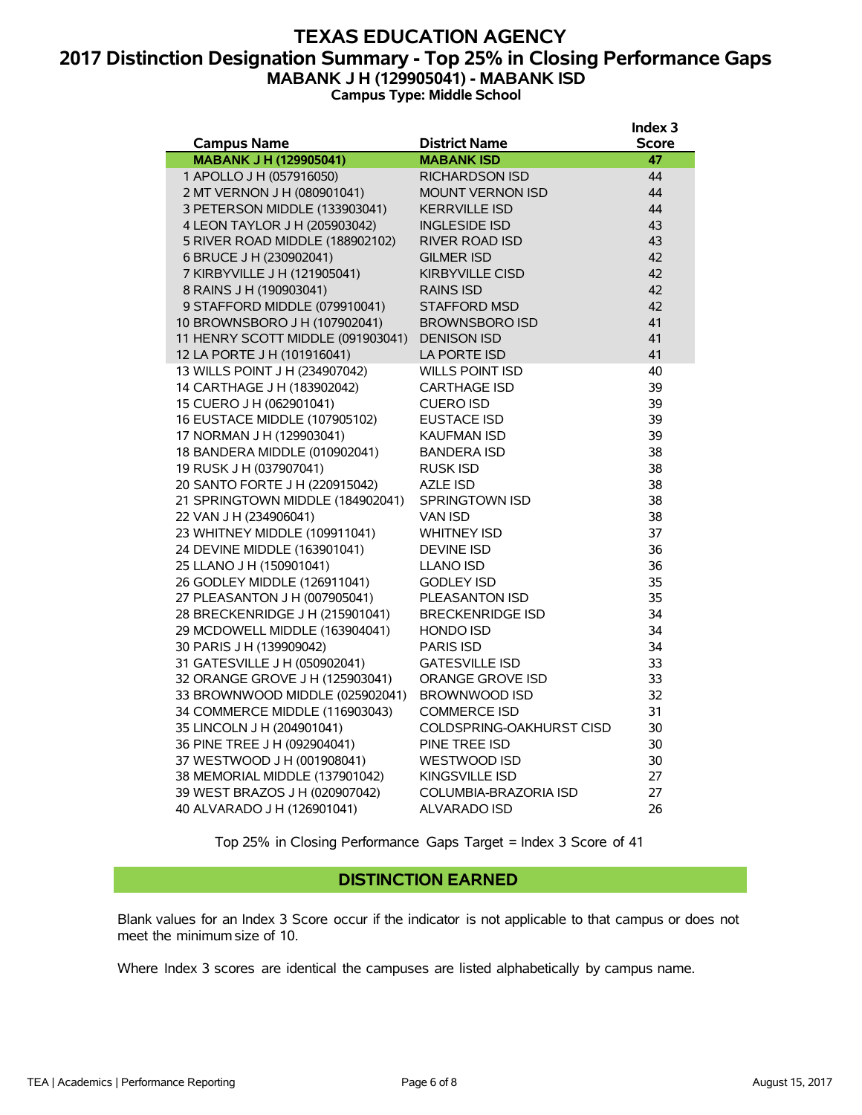# **TEXAS EDUCATION AGENCY 2017 Distinction Designation Summary - Top 25% in Closing Performance Gaps MABANK J H (129905041) - MABANK ISD**

**Campus Type: Middle School**

|                                                     |                                           | Index <sub>3</sub> |
|-----------------------------------------------------|-------------------------------------------|--------------------|
| <b>Campus Name</b><br><b>MABANK J H (129905041)</b> | <b>District Name</b><br><b>MABANK ISD</b> | <b>Score</b><br>47 |
| 1 APOLLO J H (057916050)                            | <b>RICHARDSON ISD</b>                     | 44                 |
| 2 MT VERNON J H (080901041)                         | <b>MOUNT VERNON ISD</b>                   | 44                 |
| 3 PETERSON MIDDLE (133903041)                       | <b>KERRVILLE ISD</b>                      | 44                 |
| 4 LEON TAYLOR J H (205903042)                       | <b>INGLESIDE ISD</b>                      | 43                 |
| 5 RIVER ROAD MIDDLE (188902102)                     | <b>RIVER ROAD ISD</b>                     | 43                 |
| 6 BRUCE J H (230902041)                             | <b>GILMER ISD</b>                         | 42                 |
| 7 KIRBYVILLE J H (121905041)                        | <b>KIRBYVILLE CISD</b>                    | 42                 |
| 8 RAINS J H (190903041)                             | <b>RAINS ISD</b>                          | 42                 |
| 9 STAFFORD MIDDLE (079910041)                       | <b>STAFFORD MSD</b>                       | 42                 |
| 10 BROWNSBORO J H (107902041)                       | <b>BROWNSBORO ISD</b>                     | 41                 |
| 11 HENRY SCOTT MIDDLE (091903041)                   | <b>DENISON ISD</b>                        | 41                 |
| 12 LA PORTE J H (101916041)                         | LA PORTE ISD                              | 41                 |
| 13 WILLS POINT J H (234907042)                      | <b>WILLS POINT ISD</b>                    | 40                 |
| 14 CARTHAGE J H (183902042)                         | <b>CARTHAGE ISD</b>                       | 39                 |
| 15 CUERO J H (062901041)                            | <b>CUERO ISD</b>                          | 39                 |
| 16 EUSTACE MIDDLE (107905102)                       | <b>EUSTACE ISD</b>                        | 39                 |
| 17 NORMAN J H (129903041)                           | <b>KAUFMAN ISD</b>                        | 39                 |
| 18 BANDERA MIDDLE (010902041)                       | <b>BANDERA ISD</b>                        | 38                 |
| 19 RUSK J H (037907041)                             | <b>RUSK ISD</b>                           | 38                 |
| 20 SANTO FORTE J H (220915042)                      | <b>AZLE ISD</b>                           | 38                 |
| 21 SPRINGTOWN MIDDLE (184902041)                    | <b>SPRINGTOWN ISD</b>                     | 38                 |
| 22 VAN J H (234906041)                              | <b>VAN ISD</b>                            | 38                 |
| 23 WHITNEY MIDDLE (109911041)                       | <b>WHITNEY ISD</b>                        | 37                 |
| 24 DEVINE MIDDLE (163901041)                        | <b>DEVINE ISD</b>                         | 36                 |
| 25 LLANO J H (150901041)                            | <b>LLANO ISD</b>                          | 36                 |
| 26 GODLEY MIDDLE (126911041)                        | <b>GODLEY ISD</b>                         | 35                 |
| 27 PLEASANTON J H (007905041)                       | PLEASANTON ISD                            | 35                 |
| 28 BRECKENRIDGE J H (215901041)                     | <b>BRECKENRIDGE ISD</b>                   | 34                 |
| 29 MCDOWELL MIDDLE (163904041)                      | <b>HONDO ISD</b>                          | 34                 |
| 30 PARIS J H (139909042)                            | <b>PARIS ISD</b>                          | 34                 |
| 31 GATESVILLE J H (050902041)                       | <b>GATESVILLE ISD</b>                     | 33                 |
| 32 ORANGE GROVE J H (125903041)                     | ORANGE GROVE ISD                          | 33                 |
| 33 BROWNWOOD MIDDLE (025902041)                     | <b>BROWNWOOD ISD</b>                      | 32                 |
| 34 COMMERCE MIDDLE (116903043)                      | <b>COMMERCE ISD</b>                       | 31                 |
| 35 LINCOLN J H (204901041)                          | COLDSPRING-OAKHURST CISD                  | 30                 |
| 36 PINE TREE J H (092904041)                        | PINE TREE ISD                             | 30                 |
| 37 WESTWOOD J H (001908041)                         | <b>WESTWOOD ISD</b>                       | 30                 |
| 38 MEMORIAL MIDDLE (137901042)                      | KINGSVILLE ISD                            | 27                 |
| 39 WEST BRAZOS J H (020907042)                      | <b>COLUMBIA-BRAZORIA ISD</b>              | 27                 |
| 40 ALVARADO J H (126901041)                         | <b>ALVARADO ISD</b>                       | 26                 |

Top 25% in Closing Performance Gaps Target = Index 3 Score of 41

#### **DISTINCTION EARNED**

Blank values for an Index 3 Score occur if the indicator is not applicable to that campus or does not meet the minimum size of 10.

Where Index 3 scores are identical the campuses are listed alphabetically by campus name.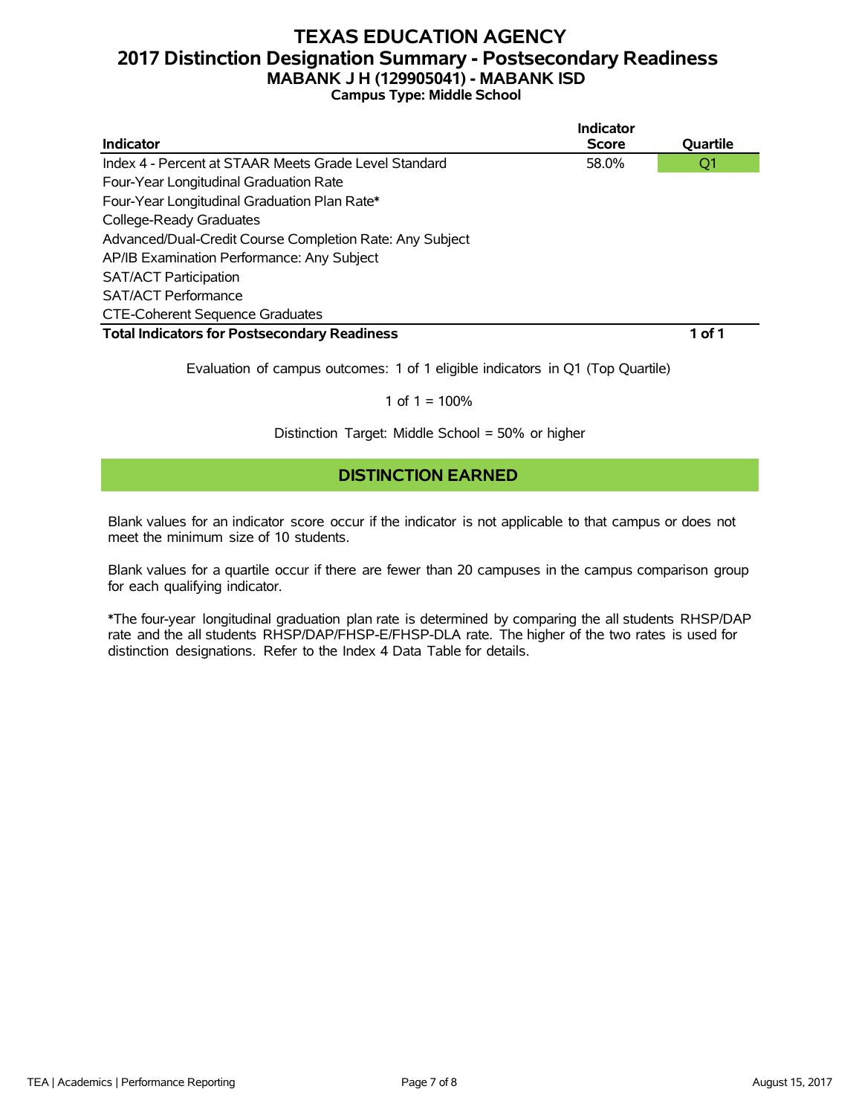# **TEXAS EDUCATION AGENCY 2017 Distinction Designation Summary - Postsecondary Readiness MABANK J H (129905041) - MABANK ISD**

#### **Campus Type: Middle School**

|                                                          | Indicator    |          |
|----------------------------------------------------------|--------------|----------|
| Indicator                                                | <b>Score</b> | Quartile |
| Index 4 - Percent at STAAR Meets Grade Level Standard    | 58.0%        | Q1       |
| Four-Year Longitudinal Graduation Rate                   |              |          |
| Four-Year Longitudinal Graduation Plan Rate*             |              |          |
| College-Ready Graduates                                  |              |          |
| Advanced/Dual-Credit Course Completion Rate: Any Subject |              |          |
| AP/IB Examination Performance: Any Subject               |              |          |
| <b>SAT/ACT Participation</b>                             |              |          |
| <b>SAT/ACT Performance</b>                               |              |          |
| <b>CTE-Coherent Sequence Graduates</b>                   |              |          |
| <b>Total Indicators for Postsecondary Readiness</b>      |              | 1 of 1   |

Evaluation of campus outcomes: 1 of 1 eligible indicators in Q1 (Top Quartile)

#### 1 of  $1 = 100%$

Distinction Target: Middle School = 50% or higher

### **DISTINCTION EARNED**

Blank values for an indicator score occur if the indicator is not applicable to that campus or does not meet the minimum size of 10 students.

Blank values for a quartile occur if there are fewer than 20 campuses in the campus comparison group for each qualifying indicator.

\*The four-year longitudinal graduation plan rate is determined by comparing the all students RHSP/DAP rate and the all students RHSP/DAP/FHSP-E/FHSP-DLA rate. The higher of the two rates is used for distinction designations. Refer to the Index 4 Data Table for details.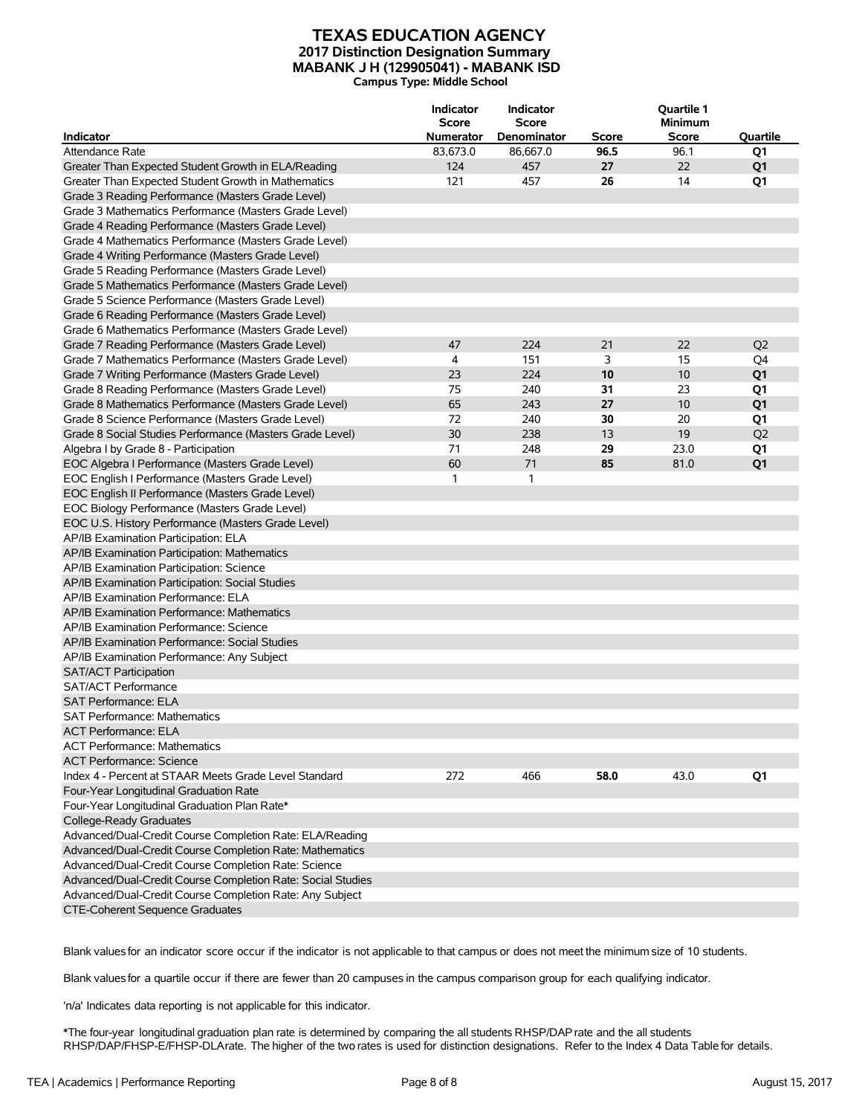#### **TEXAS EDUCATION AGENCY 2017 Distinction Designation Summary MABANK J H (129905041) - MABANK ISD Campus Type: Middle School**

| <b>Indicator</b>                                            | <b>Indicator</b><br><b>Score</b><br><b>Numerator</b> | Indicator<br><b>Score</b><br>Denominator | Score | Quartile 1<br><b>Minimum</b><br><b>Score</b> | Quartile       |
|-------------------------------------------------------------|------------------------------------------------------|------------------------------------------|-------|----------------------------------------------|----------------|
| <b>Attendance Rate</b>                                      | 83,673.0                                             | 86,667.0                                 | 96.5  | 96.1                                         | Q1             |
|                                                             | 124                                                  |                                          | 27    | 22                                           |                |
| Greater Than Expected Student Growth in ELA/Reading         |                                                      | 457                                      |       | 14                                           | Q <sub>1</sub> |
| Greater Than Expected Student Growth in Mathematics         | 121                                                  | 457                                      | 26    |                                              | Q1             |
| Grade 3 Reading Performance (Masters Grade Level)           |                                                      |                                          |       |                                              |                |
| Grade 3 Mathematics Performance (Masters Grade Level)       |                                                      |                                          |       |                                              |                |
| Grade 4 Reading Performance (Masters Grade Level)           |                                                      |                                          |       |                                              |                |
| Grade 4 Mathematics Performance (Masters Grade Level)       |                                                      |                                          |       |                                              |                |
| Grade 4 Writing Performance (Masters Grade Level)           |                                                      |                                          |       |                                              |                |
| Grade 5 Reading Performance (Masters Grade Level)           |                                                      |                                          |       |                                              |                |
| Grade 5 Mathematics Performance (Masters Grade Level)       |                                                      |                                          |       |                                              |                |
| Grade 5 Science Performance (Masters Grade Level)           |                                                      |                                          |       |                                              |                |
| Grade 6 Reading Performance (Masters Grade Level)           |                                                      |                                          |       |                                              |                |
| Grade 6 Mathematics Performance (Masters Grade Level)       |                                                      |                                          |       |                                              |                |
| Grade 7 Reading Performance (Masters Grade Level)           | 47                                                   | 224                                      | 21    | 22                                           | Q <sub>2</sub> |
| Grade 7 Mathematics Performance (Masters Grade Level)       | 4                                                    | 151                                      | 3     | 15                                           | Q4             |
| Grade 7 Writing Performance (Masters Grade Level)           | 23                                                   | 224                                      | 10    | 10                                           | Q <sub>1</sub> |
| Grade 8 Reading Performance (Masters Grade Level)           | 75                                                   | 240                                      | 31    | 23                                           | Q1             |
| Grade 8 Mathematics Performance (Masters Grade Level)       | 65                                                   | 243                                      | 27    | 10                                           | Q1             |
| Grade 8 Science Performance (Masters Grade Level)           | 72                                                   | 240                                      | 30    | 20                                           | Q1             |
| Grade 8 Social Studies Performance (Masters Grade Level)    | 30                                                   | 238                                      | 13    | 19                                           | Q <sub>2</sub> |
| Algebra I by Grade 8 - Participation                        | 71                                                   | 248                                      | 29    | 23.0                                         | Q1             |
| EOC Algebra I Performance (Masters Grade Level)             | 60                                                   | 71                                       | 85    | 81.0                                         | Q <sub>1</sub> |
| EOC English I Performance (Masters Grade Level)             | 1                                                    | 1                                        |       |                                              |                |
| EOC English II Performance (Masters Grade Level)            |                                                      |                                          |       |                                              |                |
| EOC Biology Performance (Masters Grade Level)               |                                                      |                                          |       |                                              |                |
| EOC U.S. History Performance (Masters Grade Level)          |                                                      |                                          |       |                                              |                |
| AP/IB Examination Participation: ELA                        |                                                      |                                          |       |                                              |                |
| AP/IB Examination Participation: Mathematics                |                                                      |                                          |       |                                              |                |
| AP/IB Examination Participation: Science                    |                                                      |                                          |       |                                              |                |
| AP/IB Examination Participation: Social Studies             |                                                      |                                          |       |                                              |                |
| AP/IB Examination Performance: ELA                          |                                                      |                                          |       |                                              |                |
| AP/IB Examination Performance: Mathematics                  |                                                      |                                          |       |                                              |                |
| AP/IB Examination Performance: Science                      |                                                      |                                          |       |                                              |                |
| AP/IB Examination Performance: Social Studies               |                                                      |                                          |       |                                              |                |
| AP/IB Examination Performance: Any Subject                  |                                                      |                                          |       |                                              |                |
| <b>SAT/ACT Participation</b>                                |                                                      |                                          |       |                                              |                |
| <b>SAT/ACT Performance</b>                                  |                                                      |                                          |       |                                              |                |
| <b>SAT Performance: ELA</b>                                 |                                                      |                                          |       |                                              |                |
| <b>SAT Performance: Mathematics</b>                         |                                                      |                                          |       |                                              |                |
| ACT Performance: ELA                                        |                                                      |                                          |       |                                              |                |
| <b>ACT Performance: Mathematics</b>                         |                                                      |                                          |       |                                              |                |
|                                                             |                                                      |                                          |       |                                              |                |
| <b>ACT Performance: Science</b>                             |                                                      |                                          |       |                                              |                |
| Index 4 - Percent at STAAR Meets Grade Level Standard       | 272                                                  | 466                                      | 58.0  | 43.0                                         | Q1             |
| Four-Year Longitudinal Graduation Rate                      |                                                      |                                          |       |                                              |                |
| Four-Year Longitudinal Graduation Plan Rate*                |                                                      |                                          |       |                                              |                |
| College-Ready Graduates                                     |                                                      |                                          |       |                                              |                |
| Advanced/Dual-Credit Course Completion Rate: ELA/Reading    |                                                      |                                          |       |                                              |                |
| Advanced/Dual-Credit Course Completion Rate: Mathematics    |                                                      |                                          |       |                                              |                |
| Advanced/Dual-Credit Course Completion Rate: Science        |                                                      |                                          |       |                                              |                |
| Advanced/Dual-Credit Course Completion Rate: Social Studies |                                                      |                                          |       |                                              |                |
| Advanced/Dual-Credit Course Completion Rate: Any Subject    |                                                      |                                          |       |                                              |                |
| CTE-Coherent Sequence Graduates                             |                                                      |                                          |       |                                              |                |

Blank valuesfor an indicator score occur if the indicator is not applicable to that campus or does not meet the minimum size of 10 students.

Blank valuesfor a quartile occur if there are fewer than 20 campuses in the campus comparison group for each qualifying indicator.

'n/a' Indicates data reporting is not applicable for this indicator.

\*The four-year longitudinal graduation plan rate is determined by comparing the all students RHSP/DAPrate and the all students RHSP/DAP/FHSP-E/FHSP-DLArate. The higher of the two rates is used for distinction designations. Refer to the Index 4 Data Table for details.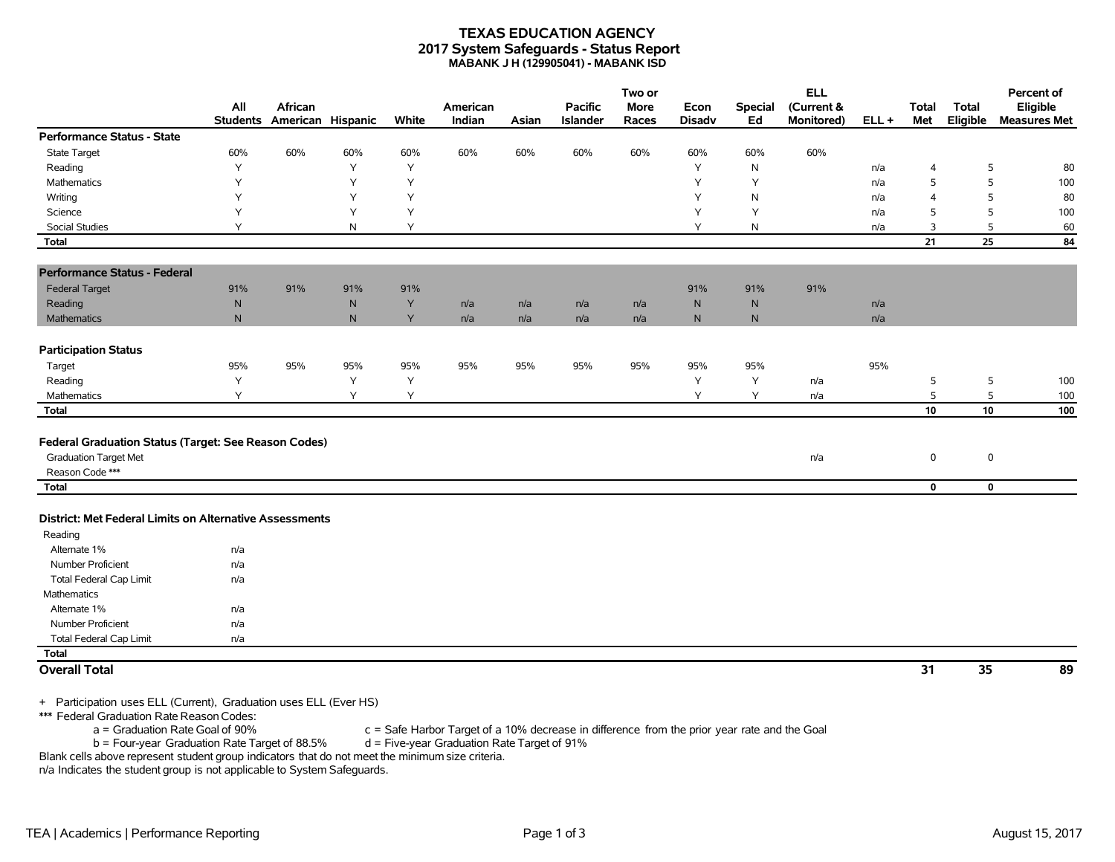#### **TEXAS EDUCATION AGENCY 2017 System Safeguards - Status Report MABANK J H (129905041) - MABANK ISD**

|                                                         |                        |                              |           |       |                    |       |                            | Two or               |                       |                      | <b>ELL</b>               |         |                     |                          | Percent of                      |
|---------------------------------------------------------|------------------------|------------------------------|-----------|-------|--------------------|-------|----------------------------|----------------------|-----------------------|----------------------|--------------------------|---------|---------------------|--------------------------|---------------------------------|
|                                                         | All<br><b>Students</b> | African<br>American Hispanic |           | White | American<br>Indian | Asian | <b>Pacific</b><br>Islander | <b>More</b><br>Races | Econ<br><b>Disadv</b> | <b>Special</b><br>Ed | (Current &<br>Monitored) | $ELL +$ | <b>Total</b><br>Met | <b>Total</b><br>Eligible | Eligible<br><b>Measures Met</b> |
| <b>Performance Status - State</b>                       |                        |                              |           |       |                    |       |                            |                      |                       |                      |                          |         |                     |                          |                                 |
| <b>State Target</b>                                     | 60%                    | 60%                          | 60%       | 60%   | 60%                | 60%   | 60%                        | 60%                  | 60%                   | 60%                  | 60%                      |         |                     |                          |                                 |
| Reading                                                 | Υ                      |                              | Y         | Y     |                    |       |                            |                      | Y                     | N                    |                          | n/a     | $\overline{4}$      | 5                        | 80                              |
| Mathematics                                             | Υ                      |                              | Y         | Y     |                    |       |                            |                      | Y                     | Y                    |                          | n/a     | 5                   | 5                        | 100                             |
| Writing                                                 | Y                      |                              | Y         | Y     |                    |       |                            |                      | Y                     | N                    |                          | n/a     | $\overline{4}$      | 5                        | 80                              |
| Science                                                 | Y                      |                              | Y         | Y     |                    |       |                            |                      | Y                     | Y                    |                          | n/a     | 5                   | 5                        | 100                             |
| <b>Social Studies</b>                                   | Y                      |                              | N         | Y     |                    |       |                            |                      | Y                     | N                    |                          | n/a     | 3                   | 5                        | 60                              |
| <b>Total</b>                                            |                        |                              |           |       |                    |       |                            |                      |                       |                      |                          |         | 21                  | 25                       | 84                              |
| <b>Performance Status - Federal</b>                     |                        |                              |           |       |                    |       |                            |                      |                       |                      |                          |         |                     |                          |                                 |
| <b>Federal Target</b>                                   | 91%                    | 91%                          | 91%       | 91%   |                    |       |                            |                      | 91%                   | 91%                  | 91%                      |         |                     |                          |                                 |
| Reading                                                 | ${\sf N}$              |                              | ${\sf N}$ | Y     | n/a                | n/a   | n/a                        | n/a                  | $\mathsf{N}$          | N                    |                          | n/a     |                     |                          |                                 |
| <b>Mathematics</b>                                      | $\mathsf{N}$           |                              | N         | Y     | n/a                | n/a   | n/a                        | n/a                  | $\mathsf{N}$          | N                    |                          | n/a     |                     |                          |                                 |
| <b>Participation Status</b>                             |                        |                              |           |       |                    |       |                            |                      |                       |                      |                          |         |                     |                          |                                 |
| Target                                                  | 95%                    | 95%                          | 95%       | 95%   | 95%                | 95%   | 95%                        | 95%                  | 95%                   | 95%                  |                          | 95%     |                     |                          |                                 |
| Reading                                                 | Υ                      |                              | Y         | Y     |                    |       |                            |                      | Υ                     | Υ                    | n/a                      |         | 5                   | 5                        | 100                             |
| Mathematics                                             | Y                      |                              | Y         | Y     |                    |       |                            |                      | Y                     | Y                    | n/a                      |         | $\mathsf S$         | 5                        | 100                             |
| <b>Total</b>                                            |                        |                              |           |       |                    |       |                            |                      |                       |                      |                          |         | ${\bf 10}$          | 10                       | 100                             |
|                                                         |                        |                              |           |       |                    |       |                            |                      |                       |                      |                          |         |                     |                          |                                 |
| Federal Graduation Status (Target: See Reason Codes)    |                        |                              |           |       |                    |       |                            |                      |                       |                      |                          |         |                     |                          |                                 |
| <b>Graduation Target Met</b>                            |                        |                              |           |       |                    |       |                            |                      |                       |                      | n/a                      |         | $\mathbf 0$         | 0                        |                                 |
| Reason Code***                                          |                        |                              |           |       |                    |       |                            |                      |                       |                      |                          |         |                     |                          |                                 |
| <b>Total</b>                                            |                        |                              |           |       |                    |       |                            |                      |                       |                      |                          |         | $\mathbf 0$         | $\mathbf 0$              |                                 |
|                                                         |                        |                              |           |       |                    |       |                            |                      |                       |                      |                          |         |                     |                          |                                 |
| District: Met Federal Limits on Alternative Assessments |                        |                              |           |       |                    |       |                            |                      |                       |                      |                          |         |                     |                          |                                 |
| Reading                                                 |                        |                              |           |       |                    |       |                            |                      |                       |                      |                          |         |                     |                          |                                 |
| Alternate 1%                                            | n/a                    |                              |           |       |                    |       |                            |                      |                       |                      |                          |         |                     |                          |                                 |
| Number Proficient                                       | n/a                    |                              |           |       |                    |       |                            |                      |                       |                      |                          |         |                     |                          |                                 |
| <b>Total Federal Cap Limit</b>                          | n/a                    |                              |           |       |                    |       |                            |                      |                       |                      |                          |         |                     |                          |                                 |
| Mathematics                                             |                        |                              |           |       |                    |       |                            |                      |                       |                      |                          |         |                     |                          |                                 |
| Alternate 1%                                            | n/a                    |                              |           |       |                    |       |                            |                      |                       |                      |                          |         |                     |                          |                                 |
| Number Proficient                                       | n/a                    |                              |           |       |                    |       |                            |                      |                       |                      |                          |         |                     |                          |                                 |
| <b>Total Federal Cap Limit</b>                          | n/a                    |                              |           |       |                    |       |                            |                      |                       |                      |                          |         |                     |                          |                                 |
| Total                                                   |                        |                              |           |       |                    |       |                            |                      |                       |                      |                          |         |                     |                          |                                 |
| <b>Overall Total</b>                                    |                        |                              |           |       |                    |       |                            |                      |                       |                      |                          |         | 31                  | 35                       | 89                              |
|                                                         |                        |                              |           |       |                    |       |                            |                      |                       |                      |                          |         |                     |                          |                                 |

+ Participation uses ELL (Current), Graduation uses ELL (Ever HS)

\*\*\* Federal Graduation Rate Reason Codes:<br>a = Graduation Rate Goal of 90%

 $c =$  Safe Harbor Target of a 10% decrease in difference from the prior year rate and the Goal d = Five-year Graduation Rate Target of 91%

 $b =$  Four-year Graduation Rate Target of 88.5%

Blank cells above represent student group indicators that do not meet the minimum size criteria. n/a Indicates the student group is not applicable to System Safeguards.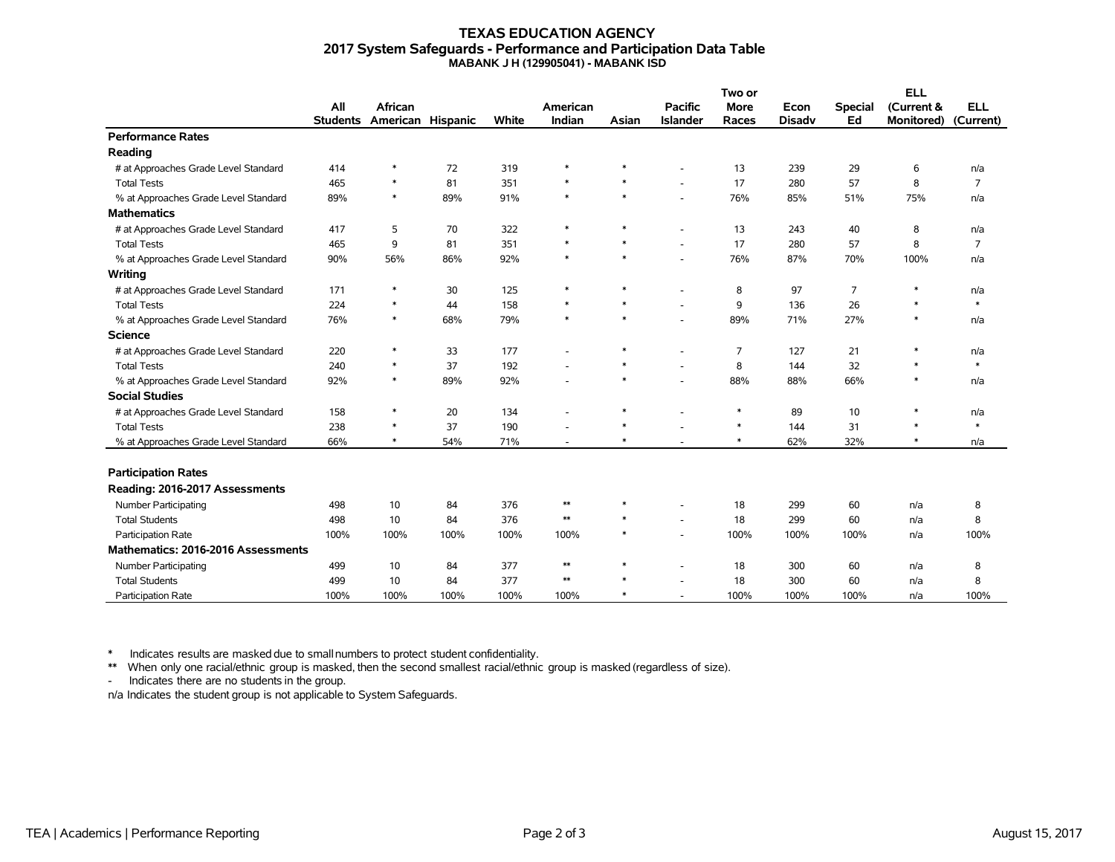#### **TEXAS EDUCATION AGENCY 2017 System Safeguards - Performance and Participation Data Table MABANK J H (129905041) - MABANK ISD**

|                                      |                 |                   |      |       |                          |        | Two or                   |             |               | <b>ELL</b>     |                   |                |
|--------------------------------------|-----------------|-------------------|------|-------|--------------------------|--------|--------------------------|-------------|---------------|----------------|-------------------|----------------|
|                                      | All             | <b>African</b>    |      |       | American                 |        | <b>Pacific</b>           | <b>More</b> | Econ          | <b>Special</b> | (Current &        | <b>ELL</b>     |
|                                      | <b>Students</b> | American Hispanic |      | White | Indian                   | Asian  | <b>Islander</b>          | Races       | <b>Disadv</b> | Ed             | <b>Monitored)</b> | (Current)      |
| <b>Performance Rates</b>             |                 |                   |      |       |                          |        |                          |             |               |                |                   |                |
| Reading                              |                 |                   |      |       |                          |        |                          |             |               |                |                   |                |
| # at Approaches Grade Level Standard | 414             | $\ast$            | 72   | 319   | $\ast$                   | $\ast$ |                          | 13          | 239           | 29             | 6                 | n/a            |
| <b>Total Tests</b>                   | 465             | $\ast$            | 81   | 351   | $\ast$                   | $\ast$ |                          | 17          | 280           | 57             | 8                 | $\overline{7}$ |
| % at Approaches Grade Level Standard | 89%             | $\ast$            | 89%  | 91%   | $\ast$                   | $\ast$ | ٠                        | 76%         | 85%           | 51%            | 75%               | n/a            |
| <b>Mathematics</b>                   |                 |                   |      |       |                          |        |                          |             |               |                |                   |                |
| # at Approaches Grade Level Standard | 417             | 5                 | 70   | 322   | $\ast$                   | $\ast$ | ٠                        | 13          | 243           | 40             | 8                 | n/a            |
| <b>Total Tests</b>                   | 465             | 9                 | 81   | 351   | $\ast$                   | $\ast$ | ×.                       | 17          | 280           | 57             | 8                 | $\overline{7}$ |
| % at Approaches Grade Level Standard | 90%             | 56%               | 86%  | 92%   | $\ast$                   | $\ast$ |                          | 76%         | 87%           | 70%            | 100%              | n/a            |
| Writing                              |                 |                   |      |       |                          |        |                          |             |               |                |                   |                |
| # at Approaches Grade Level Standard | 171             | $\ast$            | 30   | 125   | $\ast$                   | $\ast$ |                          | 8           | 97            | 7              |                   | n/a            |
| <b>Total Tests</b>                   | 224             | $\ast$            | 44   | 158   | $\ast$                   | $\ast$ |                          | 9           | 136           | 26             | $\ast$            | $\ast$         |
| % at Approaches Grade Level Standard | 76%             | $\ast$            | 68%  | 79%   | $\ast$                   | $\ast$ | ×.                       | 89%         | 71%           | 27%            | $\ast$            | n/a            |
| <b>Science</b>                       |                 |                   |      |       |                          |        |                          |             |               |                |                   |                |
| # at Approaches Grade Level Standard | 220             | *                 | 33   | 177   |                          | ∗      | ٠                        | 7           | 127           | 21             | $\ast$            | n/a            |
| <b>Total Tests</b>                   | 240             | $\ast$            | 37   | 192   |                          | $\ast$ |                          | 8           | 144           | 32             | $\ast$            | $\ast$         |
| % at Approaches Grade Level Standard | 92%             | $\ast$            | 89%  | 92%   |                          | $\ast$ |                          | 88%         | 88%           | 66%            | $\ast$            | n/a            |
| <b>Social Studies</b>                |                 |                   |      |       |                          |        |                          |             |               |                |                   |                |
| # at Approaches Grade Level Standard | 158             | $\ast$            | 20   | 134   |                          | $\ast$ |                          | $\ast$      | 89            | 10             | $\ast$            | n/a            |
| <b>Total Tests</b>                   | 238             | $\ast$            | 37   | 190   |                          | $\ast$ |                          | $\ast$      | 144           | 31             | $\ast$            | $\ast$         |
| % at Approaches Grade Level Standard | 66%             | $\ast$            | 54%  | 71%   | $\overline{\phantom{a}}$ | $\ast$ | $\overline{\phantom{a}}$ | $\ast$      | 62%           | 32%            | $\ast$            | n/a            |
|                                      |                 |                   |      |       |                          |        |                          |             |               |                |                   |                |
| <b>Participation Rates</b>           |                 |                   |      |       |                          |        |                          |             |               |                |                   |                |
| Reading: 2016-2017 Assessments       |                 |                   |      |       |                          |        |                          |             |               |                |                   |                |
| <b>Number Participating</b>          | 498             | 10                | 84   | 376   | $\ast\ast$               | $\ast$ | ٠                        | 18          | 299           | 60             | n/a               | 8              |
| <b>Total Students</b>                | 498             | 10                | 84   | 376   | $**$                     | $\ast$ | ٠                        | 18          | 299           | 60             | n/a               | 8              |
| Participation Rate                   | 100%            | 100%              | 100% | 100%  | 100%                     | $\ast$ |                          | 100%        | 100%          | 100%           | n/a               | 100%           |
| Mathematics: 2016-2016 Assessments   |                 |                   |      |       |                          |        |                          |             |               |                |                   |                |
| Number Participating                 | 499             | 10                | 84   | 377   | $\ast\ast$               | $\ast$ |                          | 18          | 300           | 60             | n/a               | 8              |
| <b>Total Students</b>                | 499             | 10                | 84   | 377   | $\ast\ast$               | $\ast$ |                          | 18          | 300           | 60             | n/a               | 8              |
| Participation Rate                   | 100%            | 100%              | 100% | 100%  | 100%                     | $\ast$ | ٠                        | 100%        | 100%          | 100%           | n/a               | 100%           |

\* Indicates results are masked due to smallnumbers to protect student confidentiality.

\*\* When only one racial/ethnic group is masked, then the second smallest racial/ethnic group is masked (regardless of size).

- Indicates there are no students in the group.

n/a Indicates the student group is not applicable to System Safeguards.